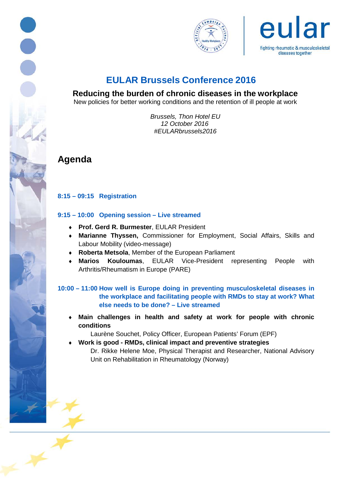





# **EULAR Brussels Conference 2016**

**Reducing the burden of chronic diseases in the workplace** 

New policies for better working conditions and the retention of ill people at work

*Brussels, Thon Hotel EU 12 October 2016 #EULARbrussels2016*

**Agenda**

## **8:15 – 09:15 Registration**

#### **9:15 – 10:00 Opening session – Live streamed**

- ♦ **Prof. Gerd R. Burmester**, EULAR President
- ♦ **Marianne Thyssen,** Commissioner for Employment, Social Affairs, Skills and Labour Mobility (video-message)
- ♦ **Roberta Metsola**, Member of the European Parliament
- ♦ **Marios Kouloumas**, EULAR Vice-President representing People with Arthritis/Rheumatism in Europe (PARE)

## **10:00 – 11:00 How well is Europe doing in preventing musculoskeletal diseases in the workplace and facilitating people with RMDs to stay at work? What else needs to be done? – Live streamed**

♦ **Main challenges in health and safety at work for people with chronic conditions** 

Laurène Souchet, Policy Officer, European Patients' Forum (EPF)

♦ **Work is good - RMDs, clinical impact and preventive strategies** Dr. Rikke Helene Moe, Physical Therapist and Researcher, National Advisory Unit on Rehabilitation in Rheumatology (Norway)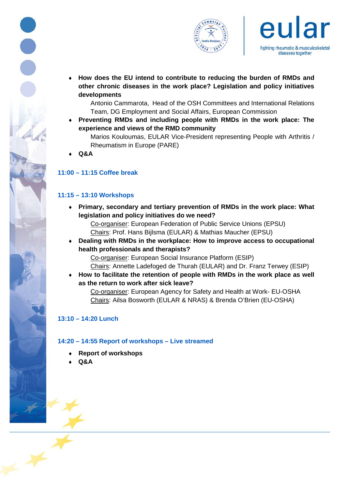





♦ **How does the EU intend to contribute to reducing the burden of RMDs and other chronic diseases in the work place? Legislation and policy initiatives developments**

Antonio Cammarota, Head of the OSH Committees and International Relations Team, DG Employment and Social Affairs, European Commission

♦ **Preventing RMDs and including people with RMDs in the work place: The experience and views of the RMD community**

Marios Kouloumas, EULAR Vice-President representing People with Arthritis / Rheumatism in Europe (PARE)

♦ **Q&A**

# **11:00 – 11:15 Coffee break**

## **11:15 – 13:10 Workshops**

♦ **Primary, secondary and tertiary prevention of RMDs in the work place: What legislation and policy initiatives do we need?**

Co-organiser: European Federation of Public Service Unions (EPSU) Chairs: Prof. Hans Bijlsma (EULAR) & Mathias Maucher (EPSU)

♦ **Dealing with RMDs in the workplace: How to improve access to occupational health professionals and therapists?**

Co-organiser: European Social Insurance Platform (ESIP)

Chairs: Annette Ladefoged de Thurah (EULAR) and Dr. Franz Terwey (ESIP)

How to facilitate the retention of people with RMDs in the work place as well **as the return to work after sick leave?**

Co-organiser: European Agency for Safety and Health at Work- EU-OSHA Chairs: Ailsa Bosworth (EULAR & NRAS) & Brenda O'Brien (EU-OSHA)

#### **13:10 – 14:20 Lunch**

#### **14:20 – 14:55 Report of workshops – Live streamed**

- **Report of workshops**
- ♦ **Q&A**